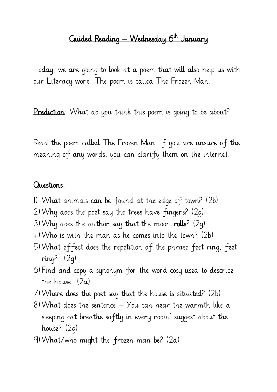## Guided Reading — Wednesday 6<sup>th</sup> January

Today, we are going to look at a poem that will also help us with our Literacy work. The poem is called The Frozen Man.

Prediction: What do you think this poem is going to be about?

Read the poem called The Frozen Man. If you are unsure of the meaning of any words, you can clarify them on the internet.

## Questions:

- 1) What animals can be found at the edge of town? (2b)
- 2)Why does the poet say the trees have fingers? (2g)
- 3) Why does the author say that the moon rolls?  $(2q)$
- 4)Who is with the man as he comes into the town? (2b)
- 5)What effect does the repetition of the phrase feet ring, feet ring? (2g)
- 6) Find and copy a synonym for the word cosy used to describe the house. (2a)
- 7)Where does the poet say that the house is situated? (2b)
- 8) What does the sentence  $-$  You can hear the warmth like a sleeping cat breathe softly in every room' suggest about the house? (2g)
- 9)What/who might the frozen man be? (2d)